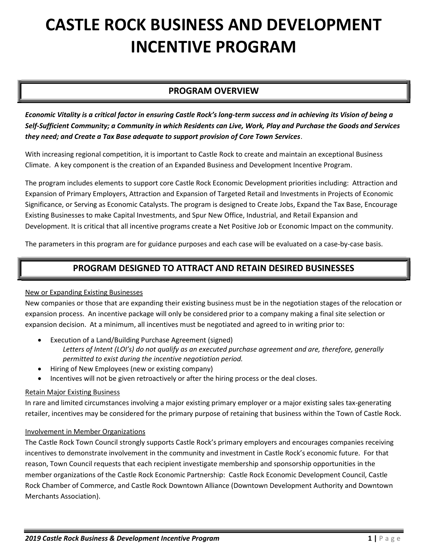# CASTLE ROCK BUSINESS AND DEVELOPMENT INCENTIVE PROGRAM

# PROGRAM OVERVIEW

Economic Vitality is a critical factor in ensuring Castle Rock's long-term success and in achieving its Vision of being a Self-Sufficient Community; a Community in which Residents can Live, Work, Play and Purchase the Goods and Services they need; and Create a Tax Base adequate to support provision of Core Town Services.

With increasing regional competition, it is important to Castle Rock to create and maintain an exceptional Business Climate. A key component is the creation of an Expanded Business and Development Incentive Program.

The program includes elements to support core Castle Rock Economic Development priorities including: Attraction and Expansion of Primary Employers, Attraction and Expansion of Targeted Retail and Investments in Projects of Economic Significance, or Serving as Economic Catalysts. The program is designed to Create Jobs, Expand the Tax Base, Encourage Existing Businesses to make Capital Investments, and Spur New Office, Industrial, and Retail Expansion and Development. It is critical that all incentive programs create a Net Positive Job or Economic Impact on the community.

The parameters in this program are for guidance purposes and each case will be evaluated on a case-by-case basis.

# PROGRAM DESIGNED TO ATTRACT AND RETAIN DESIRED BUSINESSES

## New or Expanding Existing Businesses

New companies or those that are expanding their existing business must be in the negotiation stages of the relocation or expansion process. An incentive package will only be considered prior to a company making a final site selection or expansion decision. At a minimum, all incentives must be negotiated and agreed to in writing prior to:

- Execution of a Land/Building Purchase Agreement (signed) Letters of Intent (LOI's) do not qualify as an executed purchase agreement and are, therefore, generally permitted to exist during the incentive negotiation period.
- Hiring of New Employees (new or existing company)
- Incentives will not be given retroactively or after the hiring process or the deal closes.

## Retain Major Existing Business

In rare and limited circumstances involving a major existing primary employer or a major existing sales tax-generating retailer, incentives may be considered for the primary purpose of retaining that business within the Town of Castle Rock.

## Involvement in Member Organizations

The Castle Rock Town Council strongly supports Castle Rock's primary employers and encourages companies receiving incentives to demonstrate involvement in the community and investment in Castle Rock's economic future. For that reason, Town Council requests that each recipient investigate membership and sponsorship opportunities in the member organizations of the Castle Rock Economic Partnership: Castle Rock Economic Development Council, Castle Rock Chamber of Commerce, and Castle Rock Downtown Alliance (Downtown Development Authority and Downtown Merchants Association).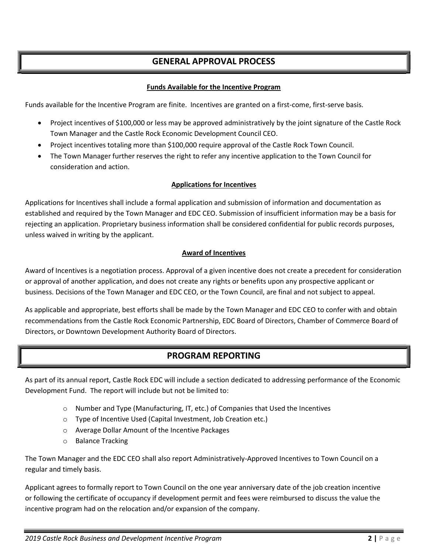# GENERAL APPROVAL PROCESS

## Funds Available for the Incentive Program

Funds available for the Incentive Program are finite. Incentives are granted on a first-come, first-serve basis.

- Project incentives of \$100,000 or less may be approved administratively by the joint signature of the Castle Rock Town Manager and the Castle Rock Economic Development Council CEO.
- Project incentives totaling more than \$100,000 require approval of the Castle Rock Town Council.
- The Town Manager further reserves the right to refer any incentive application to the Town Council for consideration and action.

## Applications for Incentives

Applications for Incentives shall include a formal application and submission of information and documentation as established and required by the Town Manager and EDC CEO. Submission of insufficient information may be a basis for rejecting an application. Proprietary business information shall be considered confidential for public records purposes, unless waived in writing by the applicant.

## Award of Incentives

Award of Incentives is a negotiation process. Approval of a given incentive does not create a precedent for consideration or approval of another application, and does not create any rights or benefits upon any prospective applicant or business. Decisions of the Town Manager and EDC CEO, or the Town Council, are final and not subject to appeal.

As applicable and appropriate, best efforts shall be made by the Town Manager and EDC CEO to confer with and obtain recommendations from the Castle Rock Economic Partnership, EDC Board of Directors, Chamber of Commerce Board of Directors, or Downtown Development Authority Board of Directors.

# PROGRAM REPORTING

As part of its annual report, Castle Rock EDC will include a section dedicated to addressing performance of the Economic Development Fund. The report will include but not be limited to:

- $\circ$  Number and Type (Manufacturing, IT, etc.) of Companies that Used the Incentives
- o Type of Incentive Used (Capital Investment, Job Creation etc.)
- o Average Dollar Amount of the Incentive Packages
- o Balance Tracking

The Town Manager and the EDC CEO shall also report Administratively-Approved Incentives to Town Council on a regular and timely basis.

Applicant agrees to formally report to Town Council on the one year anniversary date of the job creation incentive or following the certificate of occupancy if development permit and fees were reimbursed to discuss the value the incentive program had on the relocation and/or expansion of the company.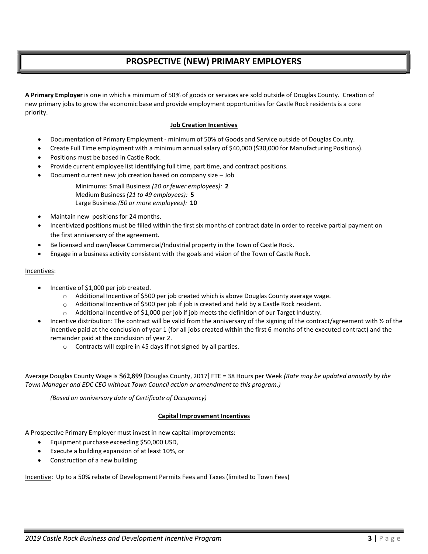# PROSPECTIVE (NEW) PRIMARY EMPLOYERS

A Primary Employer is one in which a minimum of 50% of goods or services are sold outside of Douglas County. Creation of new primary jobs to grow the economic base and provide employment opportunities for Castle Rock residents is a core priority.

#### Job Creation Incentives

- Documentation of Primary Employment minimum of 50% of Goods and Service outside of Douglas County.
- Create Full Time employment with a minimum annual salary of \$40,000 (\$30,000 for Manufacturing Positions).
- Positions must be based in Castle Rock.
- Provide current employee list identifying full time, part time, and contract positions.
- Document current new job creation based on company size Job

 Minimums: Small Business (20 or fewer employees): 2 Medium Business (21 to 49 employees): 5 Large Business (50 or more employees): 10

- Maintain new positions for 24 months.
- Incentivized positions must be filled within the first six months of contract date in order to receive partial payment on the first anniversary of the agreement.
- Be licensed and own/lease Commercial/Industrial property in the Town of Castle Rock.
- Engage in a business activity consistent with the goals and vision of the Town of Castle Rock.

#### Incentives:

- Incentive of \$1,000 per job created.
	- o Additional Incentive of \$500 per job created which is above Douglas County average wage.
	- $\circ$  Additional Incentive of \$500 per job if job is created and held by a Castle Rock resident.
	- $\circ$  Additional Incentive of \$1,000 per job if job meets the definition of our Target Industry.
- Incentive distribution: The contract will be valid from the anniversary of the signing of the contract/agreement with  $\frac{1}{2}$  of the incentive paid at the conclusion of year 1 (for all jobs created within the first 6 months of the executed contract) and the remainder paid at the conclusion of year 2.
	- o Contracts will expire in 45 days if not signed by all parties.

Average Douglas County Wage is \$62,899 [Douglas County, 2017] FTE = 38 Hours per Week (Rate may be updated annually by the Town Manager and EDC CEO without Town Council action or amendment to this program.)

(Based on anniversary date of Certificate of Occupancy)

#### Capital Improvement Incentives

A Prospective Primary Employer must invest in new capital improvements:

- Equipment purchase exceeding \$50,000 USD,
- Execute a building expansion of at least 10%, or
- Construction of a new building

Incentive: Up to a 50% rebate of Development Permits Fees and Taxes (limited to Town Fees)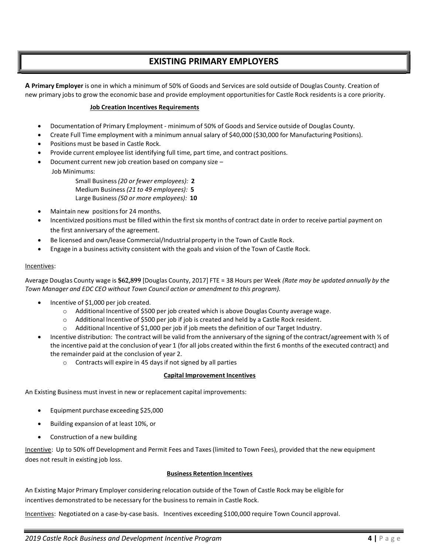## EXISTING PRIMARY EMPLOYERS

A Primary Employer is one in which a minimum of 50% of Goods and Services are sold outside of Douglas County. Creation of new primary jobs to grow the economic base and provide employment opportunities for Castle Rock residents is a core priority.

#### Job Creation Incentives Requirements

- Documentation of Primary Employment minimum of 50% of Goods and Service outside of Douglas County.
- Create Full Time employment with a minimum annual salary of \$40,000 (\$30,000 for Manufacturing Positions).
- Positions must be based in Castle Rock.
- Provide current employee list identifying full time, part time, and contract positions.
- Document current new job creation based on company size
	- Job Minimums:

Small Business (20 or fewer employees): 2 Medium Business (21 to 49 employees): 5 Large Business (50 or more employees): 10

- Maintain new positions for 24 months.
- Incentivized positions must be filled within the first six months of contract date in order to receive partial payment on the first anniversary of the agreement.
- Be licensed and own/lease Commercial/Industrial property in the Town of Castle Rock.
- Engage in a business activity consistent with the goals and vision of the Town of Castle Rock.

#### Incentives:

Average Douglas County wage is \$62,899 [Douglas County, 2017] FTE = 38 Hours per Week (Rate may be updated annually by the Town Manager and EDC CEO without Town Council action or amendment to this program).

- Incentive of \$1,000 per job created.
	- o Additional Incentive of \$500 per job created which is above Douglas County average wage.
	- o Additional Incentive of \$500 per job if job is created and held by a Castle Rock resident.
	- $\circ$  Additional Incentive of \$1,000 per job if job meets the definition of our Target Industry.
- Incentive distribution: The contract will be valid from the anniversary of the signing of the contract/agreement with  $\frac{1}{2}$  of the incentive paid at the conclusion of year 1 (for all jobs created within the first 6 months of the executed contract) and the remainder paid at the conclusion of year 2.
	- o Contracts will expire in 45 days if not signed by all parties

#### Capital Improvement Incentives

An Existing Business must invest in new or replacement capital improvements:

- Equipment purchase exceeding \$25,000
- Building expansion of at least 10%, or
- Construction of a new building

Incentive: Up to 50% off Development and Permit Fees and Taxes (limited to Town Fees), provided that the new equipment does not result in existing job loss.

### Business Retention Incentives

An Existing Major Primary Employer considering relocation outside of the Town of Castle Rock may be eligible for incentives demonstrated to be necessary for the business to remain in Castle Rock.

Incentives: Negotiated on a case-by-case basis. Incentives exceeding \$100,000 require Town Council approval.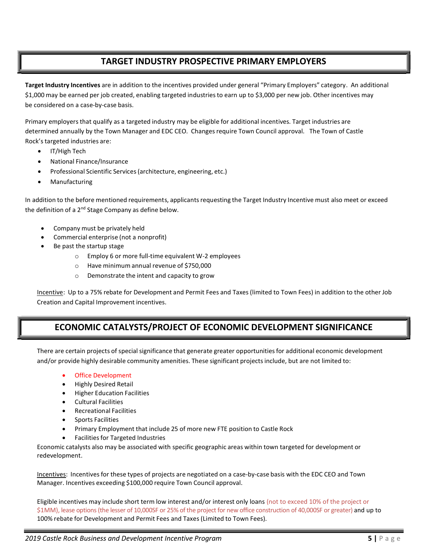## TARGET INDUSTRY PROSPECTIVE PRIMARY EMPLOYERS

Target Industry Incentives are in addition to the incentives provided under general "Primary Employers" category. An additional \$1,000 may be earned per job created, enabling targeted industries to earn up to \$3,000 per new job. Other incentives may be considered on a case-by-case basis.

Primary employers that qualify as a targeted industry may be eligible for additional incentives. Target industries are determined annually by the Town Manager and EDC CEO. Changes require Town Council approval. The Town of Castle Rock's targeted industries are:

- IT/High Tech
- National Finance/Insurance
- Professional Scientific Services (architecture, engineering, etc.)
- Manufacturing

In addition to the before mentioned requirements, applicants requesting the Target Industry Incentive must also meet or exceed the definition of a 2<sup>nd</sup> Stage Company as define below.

- Company must be privately held
- Commercial enterprise (not a nonprofit)
- Be past the startup stage
	- o Employ 6 or more full-time equivalent W-2 employees
	- o Have minimum annual revenue of \$750,000
	- o Demonstrate the intent and capacity to grow

Incentive: Up to a 75% rebate for Development and Permit Fees and Taxes (limited to Town Fees) in addition to the other Job Creation and Capital Improvement incentives.

# ECONOMIC CATALYSTS/PROJECT OF ECONOMIC DEVELOPMENT SIGNIFICANCE

There are certain projects of special significance that generate greater opportunities for additional economic development and/or provide highly desirable community amenities. These significant projects include, but are not limited to:

- Office Development
- Highly Desired Retail
- Higher Education Facilities
- Cultural Facilities
- Recreational Facilities
- Sports Facilities
- Primary Employment that include 25 of more new FTE position to Castle Rock
- Facilities for Targeted Industries

Economic catalysts also may be associated with specific geographic areas within town targeted for development or redevelopment.

Incentives: Incentives for these types of projects are negotiated on a case-by-case basis with the EDC CEO and Town Manager. Incentives exceeding \$100,000 require Town Council approval.

Eligible incentives may include short term low interest and/or interest only loans (not to exceed 10% of the project or \$1MM), lease options (the lesser of 10,000SF or 25% of the project for new office construction of 40,000SF or greater) and up to 100% rebate for Development and Permit Fees and Taxes (Limited to Town Fees).